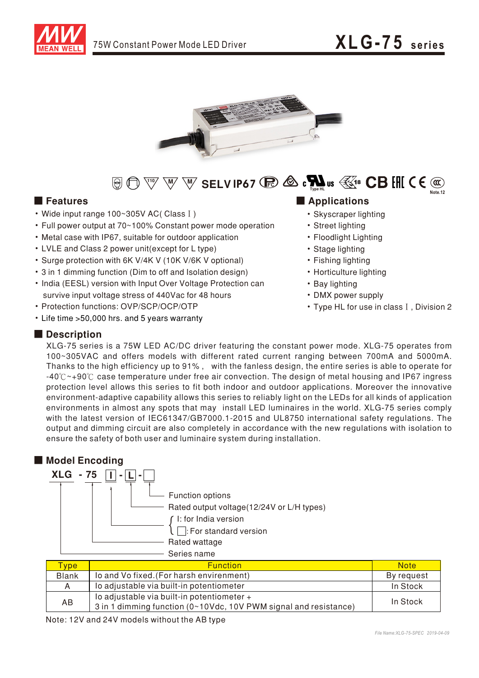



### $\text{H}_{\text{H}}\oplus\text{H}_{\text{H}}\oplus\text{H}_{\text{H}}\oplus\text{H}_{\text{H}}$  SELV IP67  $\text{H}_{\text{H}}\otimes\text{H}_{\text{H}}\oplus\text{H}_{\text{H}}\oplus\text{H}_{\text{H}}$  (  $\in\text{H}_{\text{H}}$ **Note.12**

- Wide input range 100~305V AC(Class I)
- Full power output at 70~100% Constant power mode operation
- Metal case with IP67, suitable for outdoor application
- LVLE and Class 2 power unit(except for L type)
- Surge protection with 6K V/4K V (10K V/6K V optional)
- 3 in 1 dimming function (Dim to off and Isolation design)
- India (EESL) version with Input Over Voltage Protection can survive input voltage stress of 440Vac for 48 hours
- Protection functions: OVP/SCP/OCP/OTP
- Life time > 50,000 hrs. and 5 years warranty

### ■ **Features** ■ **Applications**

- Skyscraper lighting
- Street lighting
- Floodlight Lighting
- Stage lighting
- Fishing lighting
- Horticulture lighting
- Bay lighting
- •DMX power supply
- Type HL for use in class I, Division 2

#### ■ **Description**

XLG-75 series is a 75W LED AC/DC driver featuring the constant power mode. XLG-75 operates from 100~305VAC and offers models with different rated current ranging between 700mA and 5000mA. Thanks to the high efficiency up to 91%, with the fanless design, the entire series is able to operate for  $-40^{\circ}$  $\sim$ +90 $^{\circ}$  case temperature under free air convection. The design of metal housing and IP67 ingress protection level allows this series to fit both indoor and outdoor applications. Moreover the innovative environment-adaptive capability allows this series to reliably light on the LEDs for all kinds of application environments in almost any spots that may install LED luminaires in the world. XLG-75 series comply with the latest version of IEC61347/GB7000.1-2015 and UL8750 international safety regulations. The output and dimming circuit are also completely in accordance with the new regulations with isolation to ensure the safety of both user and luminaire system during installation.

#### ■ **Model Encoding**



| <b>Type</b>  | <b>Function</b>                                                                                                | <b>Note</b> |
|--------------|----------------------------------------------------------------------------------------------------------------|-------------|
| <b>Blank</b> | lo and Vo fixed. (For harsh envirenment)                                                                       | By request  |
| A            | lo adjustable via built-in potentiometer                                                                       | In Stock    |
| AВ           | lo adjustable via built-in potentiometer +<br>3 in 1 dimming function (0~10Vdc, 10V PWM signal and resistance) | In Stock    |

Note: 12V and 24V models without the AB type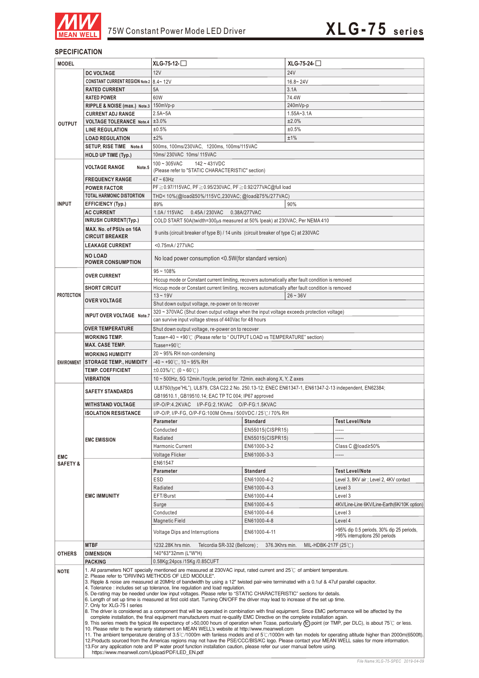

#### **SPECIFICATION**

| <b>MODEL</b>        |                                                                                                                                                                                                                                                                                                                                                                                                                                                                                                                                                                                                                                                                                                                                                                                                                                                                                                                                                                                                                                                                                                                                                                                                                                                                                                                                                                                                                                                                                                                                                                                                                                                                                                    | XLG-75-12-                                                                                           |                            | $XLG-75-24-$        |                                             |  |  |
|---------------------|----------------------------------------------------------------------------------------------------------------------------------------------------------------------------------------------------------------------------------------------------------------------------------------------------------------------------------------------------------------------------------------------------------------------------------------------------------------------------------------------------------------------------------------------------------------------------------------------------------------------------------------------------------------------------------------------------------------------------------------------------------------------------------------------------------------------------------------------------------------------------------------------------------------------------------------------------------------------------------------------------------------------------------------------------------------------------------------------------------------------------------------------------------------------------------------------------------------------------------------------------------------------------------------------------------------------------------------------------------------------------------------------------------------------------------------------------------------------------------------------------------------------------------------------------------------------------------------------------------------------------------------------------------------------------------------------------|------------------------------------------------------------------------------------------------------|----------------------------|---------------------|---------------------------------------------|--|--|
|                     | <b>DC VOLTAGE</b>                                                                                                                                                                                                                                                                                                                                                                                                                                                                                                                                                                                                                                                                                                                                                                                                                                                                                                                                                                                                                                                                                                                                                                                                                                                                                                                                                                                                                                                                                                                                                                                                                                                                                  | 12V                                                                                                  |                            | <b>24V</b>          |                                             |  |  |
|                     | CONSTANT CURRENT REGION Note.2 8.4~12V                                                                                                                                                                                                                                                                                                                                                                                                                                                                                                                                                                                                                                                                                                                                                                                                                                                                                                                                                                                                                                                                                                                                                                                                                                                                                                                                                                                                                                                                                                                                                                                                                                                             |                                                                                                      |                            | $16.8 - 24V$        |                                             |  |  |
|                     | <b>RATED CURRENT</b>                                                                                                                                                                                                                                                                                                                                                                                                                                                                                                                                                                                                                                                                                                                                                                                                                                                                                                                                                                                                                                                                                                                                                                                                                                                                                                                                                                                                                                                                                                                                                                                                                                                                               | 5A                                                                                                   |                            | 3.1A                |                                             |  |  |
|                     | <b>RATED POWER</b>                                                                                                                                                                                                                                                                                                                                                                                                                                                                                                                                                                                                                                                                                                                                                                                                                                                                                                                                                                                                                                                                                                                                                                                                                                                                                                                                                                                                                                                                                                                                                                                                                                                                                 | 60W                                                                                                  |                            | 74.4W               |                                             |  |  |
|                     | RIPPLE & NOISE (max.) Note.3 150mVp-p                                                                                                                                                                                                                                                                                                                                                                                                                                                                                                                                                                                                                                                                                                                                                                                                                                                                                                                                                                                                                                                                                                                                                                                                                                                                                                                                                                                                                                                                                                                                                                                                                                                              |                                                                                                      |                            | 240mVp-p            |                                             |  |  |
|                     | <b>CURRENT ADJ RANGE</b>                                                                                                                                                                                                                                                                                                                                                                                                                                                                                                                                                                                                                                                                                                                                                                                                                                                                                                                                                                                                                                                                                                                                                                                                                                                                                                                                                                                                                                                                                                                                                                                                                                                                           | $2.5A - 5A$                                                                                          |                            | $1.55A - 3.1A$      |                                             |  |  |
| <b>OUTPUT</b>       | <b>VOLTAGE TOLERANCE Note.4</b>                                                                                                                                                                                                                                                                                                                                                                                                                                                                                                                                                                                                                                                                                                                                                                                                                                                                                                                                                                                                                                                                                                                                                                                                                                                                                                                                                                                                                                                                                                                                                                                                                                                                    | ±3.0%                                                                                                |                            | ±2.0%               |                                             |  |  |
|                     | <b>LINE REGULATION</b>                                                                                                                                                                                                                                                                                                                                                                                                                                                                                                                                                                                                                                                                                                                                                                                                                                                                                                                                                                                                                                                                                                                                                                                                                                                                                                                                                                                                                                                                                                                                                                                                                                                                             | ±0.5%                                                                                                |                            | ±0.5%               |                                             |  |  |
|                     | <b>LOAD REGULATION</b>                                                                                                                                                                                                                                                                                                                                                                                                                                                                                                                                                                                                                                                                                                                                                                                                                                                                                                                                                                                                                                                                                                                                                                                                                                                                                                                                                                                                                                                                                                                                                                                                                                                                             | ±2%                                                                                                  |                            | ±1%                 |                                             |  |  |
|                     | SETUP, RISE TIME Note.6                                                                                                                                                                                                                                                                                                                                                                                                                                                                                                                                                                                                                                                                                                                                                                                                                                                                                                                                                                                                                                                                                                                                                                                                                                                                                                                                                                                                                                                                                                                                                                                                                                                                            | 500ms, 100ms/230VAC, 1200ms, 100ms/115VAC                                                            |                            |                     |                                             |  |  |
|                     | <b>HOLD UP TIME (Typ.)</b>                                                                                                                                                                                                                                                                                                                                                                                                                                                                                                                                                                                                                                                                                                                                                                                                                                                                                                                                                                                                                                                                                                                                                                                                                                                                                                                                                                                                                                                                                                                                                                                                                                                                         | 10ms/ 230VAC 10ms/ 115VAC                                                                            |                            |                     |                                             |  |  |
|                     | <b>VOLTAGE RANGE</b><br>Note.5                                                                                                                                                                                                                                                                                                                                                                                                                                                                                                                                                                                                                                                                                                                                                                                                                                                                                                                                                                                                                                                                                                                                                                                                                                                                                                                                                                                                                                                                                                                                                                                                                                                                     | $100 - 305$ VAC<br>$142 - 431VDC$                                                                    |                            |                     |                                             |  |  |
|                     | <b>FREQUENCY RANGE</b>                                                                                                                                                                                                                                                                                                                                                                                                                                                                                                                                                                                                                                                                                                                                                                                                                                                                                                                                                                                                                                                                                                                                                                                                                                                                                                                                                                                                                                                                                                                                                                                                                                                                             | (Please refer to "STATIC CHARACTERISTIC" section)<br>$47 \sim 63$ Hz                                 |                            |                     |                                             |  |  |
|                     | <b>POWER FACTOR</b>                                                                                                                                                                                                                                                                                                                                                                                                                                                                                                                                                                                                                                                                                                                                                                                                                                                                                                                                                                                                                                                                                                                                                                                                                                                                                                                                                                                                                                                                                                                                                                                                                                                                                | PF≥0.97/115VAC, PF≥0.95/230VAC, PF≥0.92/277VAC@full load                                             |                            |                     |                                             |  |  |
|                     | <b>TOTAL HARMONIC DISTORTION</b>                                                                                                                                                                                                                                                                                                                                                                                                                                                                                                                                                                                                                                                                                                                                                                                                                                                                                                                                                                                                                                                                                                                                                                                                                                                                                                                                                                                                                                                                                                                                                                                                                                                                   | THD<10%(@load≧50%/115VC,230VAC; @load≧75%/277VAC)                                                    |                            |                     |                                             |  |  |
| <b>INPUT</b>        | <b>EFFICIENCY (Typ.)</b>                                                                                                                                                                                                                                                                                                                                                                                                                                                                                                                                                                                                                                                                                                                                                                                                                                                                                                                                                                                                                                                                                                                                                                                                                                                                                                                                                                                                                                                                                                                                                                                                                                                                           | 90%<br>89%                                                                                           |                            |                     |                                             |  |  |
|                     | <b>AC CURRENT</b>                                                                                                                                                                                                                                                                                                                                                                                                                                                                                                                                                                                                                                                                                                                                                                                                                                                                                                                                                                                                                                                                                                                                                                                                                                                                                                                                                                                                                                                                                                                                                                                                                                                                                  | 1.0A / 115VAC<br>0.45A / 230VAC<br>0.38A/277VAC                                                      |                            |                     |                                             |  |  |
|                     | <b>INRUSH CURRENT(Typ.)</b>                                                                                                                                                                                                                                                                                                                                                                                                                                                                                                                                                                                                                                                                                                                                                                                                                                                                                                                                                                                                                                                                                                                                                                                                                                                                                                                                                                                                                                                                                                                                                                                                                                                                        | COLD START 50A(twidth=300µs measured at 50% Ipeak) at 230VAC; Per NEMA 410                           |                            |                     |                                             |  |  |
|                     | MAX. No. of PSUs on 16A                                                                                                                                                                                                                                                                                                                                                                                                                                                                                                                                                                                                                                                                                                                                                                                                                                                                                                                                                                                                                                                                                                                                                                                                                                                                                                                                                                                                                                                                                                                                                                                                                                                                            |                                                                                                      |                            |                     |                                             |  |  |
|                     | <b>CIRCUIT BREAKER</b>                                                                                                                                                                                                                                                                                                                                                                                                                                                                                                                                                                                                                                                                                                                                                                                                                                                                                                                                                                                                                                                                                                                                                                                                                                                                                                                                                                                                                                                                                                                                                                                                                                                                             | 9 units (circuit breaker of type B) / 14 units (circuit breaker of type C) at 230VAC                 |                            |                     |                                             |  |  |
|                     | <b>LEAKAGE CURRENT</b>                                                                                                                                                                                                                                                                                                                                                                                                                                                                                                                                                                                                                                                                                                                                                                                                                                                                                                                                                                                                                                                                                                                                                                                                                                                                                                                                                                                                                                                                                                                                                                                                                                                                             | <0.75mA / 277VAC                                                                                     |                            |                     |                                             |  |  |
|                     | <b>NO LOAD</b>                                                                                                                                                                                                                                                                                                                                                                                                                                                                                                                                                                                                                                                                                                                                                                                                                                                                                                                                                                                                                                                                                                                                                                                                                                                                                                                                                                                                                                                                                                                                                                                                                                                                                     |                                                                                                      |                            |                     |                                             |  |  |
|                     | <b>POWER CONSUMPTION</b>                                                                                                                                                                                                                                                                                                                                                                                                                                                                                                                                                                                                                                                                                                                                                                                                                                                                                                                                                                                                                                                                                                                                                                                                                                                                                                                                                                                                                                                                                                                                                                                                                                                                           | No load power consumption <0.5W(for standard version)                                                |                            |                     |                                             |  |  |
|                     | <b>OVER CURRENT</b>                                                                                                                                                                                                                                                                                                                                                                                                                                                                                                                                                                                                                                                                                                                                                                                                                                                                                                                                                                                                                                                                                                                                                                                                                                                                                                                                                                                                                                                                                                                                                                                                                                                                                | $95 - 108%$                                                                                          |                            |                     |                                             |  |  |
|                     |                                                                                                                                                                                                                                                                                                                                                                                                                                                                                                                                                                                                                                                                                                                                                                                                                                                                                                                                                                                                                                                                                                                                                                                                                                                                                                                                                                                                                                                                                                                                                                                                                                                                                                    | Hiccup mode or Constant current limiting, recovers automatically after fault condition is removed    |                            |                     |                                             |  |  |
|                     | <b>SHORT CIRCUIT</b>                                                                                                                                                                                                                                                                                                                                                                                                                                                                                                                                                                                                                                                                                                                                                                                                                                                                                                                                                                                                                                                                                                                                                                                                                                                                                                                                                                                                                                                                                                                                                                                                                                                                               | Hiccup mode or Constant current limiting, recovers automatically after fault condition is removed    |                            |                     |                                             |  |  |
| <b>PROTECTION</b>   | <b>OVER VOLTAGE</b>                                                                                                                                                                                                                                                                                                                                                                                                                                                                                                                                                                                                                                                                                                                                                                                                                                                                                                                                                                                                                                                                                                                                                                                                                                                                                                                                                                                                                                                                                                                                                                                                                                                                                | $13 - 19V$                                                                                           |                            | $26 - 36V$          |                                             |  |  |
|                     |                                                                                                                                                                                                                                                                                                                                                                                                                                                                                                                                                                                                                                                                                                                                                                                                                                                                                                                                                                                                                                                                                                                                                                                                                                                                                                                                                                                                                                                                                                                                                                                                                                                                                                    | Shut down output voltage, re-power on to recover                                                     |                            |                     |                                             |  |  |
|                     | INPUT OVER VOLTAGE Note.7                                                                                                                                                                                                                                                                                                                                                                                                                                                                                                                                                                                                                                                                                                                                                                                                                                                                                                                                                                                                                                                                                                                                                                                                                                                                                                                                                                                                                                                                                                                                                                                                                                                                          | 320 ~ 370VAC (Shut down output voltage when the input voltage exceeds protection voltage)            |                            |                     |                                             |  |  |
|                     |                                                                                                                                                                                                                                                                                                                                                                                                                                                                                                                                                                                                                                                                                                                                                                                                                                                                                                                                                                                                                                                                                                                                                                                                                                                                                                                                                                                                                                                                                                                                                                                                                                                                                                    | can survive input voltage stress of 440Vac for 48 hours                                              |                            |                     |                                             |  |  |
|                     | <b>OVER TEMPERATURE</b>                                                                                                                                                                                                                                                                                                                                                                                                                                                                                                                                                                                                                                                                                                                                                                                                                                                                                                                                                                                                                                                                                                                                                                                                                                                                                                                                                                                                                                                                                                                                                                                                                                                                            | Shut down output voltage, re-power on to recover                                                     |                            |                     |                                             |  |  |
|                     | <b>WORKING TEMP.</b><br><b>MAX. CASE TEMP.</b>                                                                                                                                                                                                                                                                                                                                                                                                                                                                                                                                                                                                                                                                                                                                                                                                                                                                                                                                                                                                                                                                                                                                                                                                                                                                                                                                                                                                                                                                                                                                                                                                                                                     | Tcase=-40 ~ +90℃ (Please refer to "OUTPUT LOAD vs TEMPERATURE" section)                              |                            |                     |                                             |  |  |
|                     | <b>WORKING HUMIDITY</b>                                                                                                                                                                                                                                                                                                                                                                                                                                                                                                                                                                                                                                                                                                                                                                                                                                                                                                                                                                                                                                                                                                                                                                                                                                                                                                                                                                                                                                                                                                                                                                                                                                                                            | Tcase=+90 $°C$<br>20~95% RH non-condensing                                                           |                            |                     |                                             |  |  |
| <b>ENVIRONMENT</b>  | <b>STORAGE TEMP., HUMIDITY</b>                                                                                                                                                                                                                                                                                                                                                                                                                                                                                                                                                                                                                                                                                                                                                                                                                                                                                                                                                                                                                                                                                                                                                                                                                                                                                                                                                                                                                                                                                                                                                                                                                                                                     | $-40 \sim +90^{\circ}$ C, 10 ~ 95% RH                                                                |                            |                     |                                             |  |  |
|                     | <b>TEMP. COEFFICIENT</b>                                                                                                                                                                                                                                                                                                                                                                                                                                                                                                                                                                                                                                                                                                                                                                                                                                                                                                                                                                                                                                                                                                                                                                                                                                                                                                                                                                                                                                                                                                                                                                                                                                                                           | $\pm 0.03\%$ /°C (0~60°C)                                                                            |                            |                     |                                             |  |  |
|                     | <b>VIBRATION</b>                                                                                                                                                                                                                                                                                                                                                                                                                                                                                                                                                                                                                                                                                                                                                                                                                                                                                                                                                                                                                                                                                                                                                                                                                                                                                                                                                                                                                                                                                                                                                                                                                                                                                   | 10 ~ 500Hz, 5G 12min./1cycle, period for 72min. each along X, Y, Z axes                              |                            |                     |                                             |  |  |
|                     |                                                                                                                                                                                                                                                                                                                                                                                                                                                                                                                                                                                                                                                                                                                                                                                                                                                                                                                                                                                                                                                                                                                                                                                                                                                                                                                                                                                                                                                                                                                                                                                                                                                                                                    | UL8750(type"HL"), UL879, CSA C22.2 No. 250.13-12; ENEC EN61347-1, EN61347-2-13 independent, EN62384; |                            |                     |                                             |  |  |
|                     | <b>SAFETY STANDARDS</b>                                                                                                                                                                                                                                                                                                                                                                                                                                                                                                                                                                                                                                                                                                                                                                                                                                                                                                                                                                                                                                                                                                                                                                                                                                                                                                                                                                                                                                                                                                                                                                                                                                                                            | GB19510.1, GB19510.14; EAC TP TC 004; IP67 approved                                                  |                            |                     |                                             |  |  |
|                     | <b>WITHSTAND VOLTAGE</b>                                                                                                                                                                                                                                                                                                                                                                                                                                                                                                                                                                                                                                                                                                                                                                                                                                                                                                                                                                                                                                                                                                                                                                                                                                                                                                                                                                                                                                                                                                                                                                                                                                                                           | I/P-O/P:4.2KVAC I/P-FG:2.1KVAC O/P-FG:1.5KVAC                                                        |                            |                     |                                             |  |  |
|                     | <b>ISOLATION RESISTANCE</b>                                                                                                                                                                                                                                                                                                                                                                                                                                                                                                                                                                                                                                                                                                                                                                                                                                                                                                                                                                                                                                                                                                                                                                                                                                                                                                                                                                                                                                                                                                                                                                                                                                                                        | I/P-O/P. I/P-FG. O/P-FG:100M Ohms / 500VDC / 25°C / 70% RH                                           |                            |                     |                                             |  |  |
|                     |                                                                                                                                                                                                                                                                                                                                                                                                                                                                                                                                                                                                                                                                                                                                                                                                                                                                                                                                                                                                                                                                                                                                                                                                                                                                                                                                                                                                                                                                                                                                                                                                                                                                                                    | Parameter                                                                                            | Standard                   |                     | Test Level/Note                             |  |  |
|                     |                                                                                                                                                                                                                                                                                                                                                                                                                                                                                                                                                                                                                                                                                                                                                                                                                                                                                                                                                                                                                                                                                                                                                                                                                                                                                                                                                                                                                                                                                                                                                                                                                                                                                                    | Conducted                                                                                            | EN55015(CISPR15)           |                     | -----                                       |  |  |
|                     | <b>EMC EMISSION</b>                                                                                                                                                                                                                                                                                                                                                                                                                                                                                                                                                                                                                                                                                                                                                                                                                                                                                                                                                                                                                                                                                                                                                                                                                                                                                                                                                                                                                                                                                                                                                                                                                                                                                | Radiated                                                                                             | EN55015(CISPR15)           |                     |                                             |  |  |
|                     |                                                                                                                                                                                                                                                                                                                                                                                                                                                                                                                                                                                                                                                                                                                                                                                                                                                                                                                                                                                                                                                                                                                                                                                                                                                                                                                                                                                                                                                                                                                                                                                                                                                                                                    | Harmonic Current                                                                                     | EN61000-3-2                |                     | Class C @load $\geq$ 50%                    |  |  |
| <b>EMC</b>          |                                                                                                                                                                                                                                                                                                                                                                                                                                                                                                                                                                                                                                                                                                                                                                                                                                                                                                                                                                                                                                                                                                                                                                                                                                                                                                                                                                                                                                                                                                                                                                                                                                                                                                    | <b>Voltage Flicker</b>                                                                               | EN61000-3-3                |                     | -----                                       |  |  |
| <b>SAFETY &amp;</b> | <b>EMC IMMUNITY</b>                                                                                                                                                                                                                                                                                                                                                                                                                                                                                                                                                                                                                                                                                                                                                                                                                                                                                                                                                                                                                                                                                                                                                                                                                                                                                                                                                                                                                                                                                                                                                                                                                                                                                | EN61547                                                                                              |                            |                     |                                             |  |  |
|                     |                                                                                                                                                                                                                                                                                                                                                                                                                                                                                                                                                                                                                                                                                                                                                                                                                                                                                                                                                                                                                                                                                                                                                                                                                                                                                                                                                                                                                                                                                                                                                                                                                                                                                                    | Parameter                                                                                            | <b>Standard</b>            |                     | <b>Test Level/Note</b>                      |  |  |
|                     |                                                                                                                                                                                                                                                                                                                                                                                                                                                                                                                                                                                                                                                                                                                                                                                                                                                                                                                                                                                                                                                                                                                                                                                                                                                                                                                                                                                                                                                                                                                                                                                                                                                                                                    | ESD                                                                                                  | EN61000-4-2                |                     | Level 3, 8KV air ; Level 2, 4KV contact     |  |  |
|                     |                                                                                                                                                                                                                                                                                                                                                                                                                                                                                                                                                                                                                                                                                                                                                                                                                                                                                                                                                                                                                                                                                                                                                                                                                                                                                                                                                                                                                                                                                                                                                                                                                                                                                                    | Radiated                                                                                             | EN61000-4-3                |                     | Level 3                                     |  |  |
|                     |                                                                                                                                                                                                                                                                                                                                                                                                                                                                                                                                                                                                                                                                                                                                                                                                                                                                                                                                                                                                                                                                                                                                                                                                                                                                                                                                                                                                                                                                                                                                                                                                                                                                                                    | EFT/Burst                                                                                            | EN61000-4-4                |                     | Level 3                                     |  |  |
|                     |                                                                                                                                                                                                                                                                                                                                                                                                                                                                                                                                                                                                                                                                                                                                                                                                                                                                                                                                                                                                                                                                                                                                                                                                                                                                                                                                                                                                                                                                                                                                                                                                                                                                                                    | Surge                                                                                                | EN61000-4-5                |                     | 4KV/Line-Line 6KV/Line-Earth(6K/10K option) |  |  |
|                     |                                                                                                                                                                                                                                                                                                                                                                                                                                                                                                                                                                                                                                                                                                                                                                                                                                                                                                                                                                                                                                                                                                                                                                                                                                                                                                                                                                                                                                                                                                                                                                                                                                                                                                    | Conducted<br>Magnetic Field                                                                          | EN61000-4-6<br>EN61000-4-8 |                     | Level 3<br>Level 4                          |  |  |
|                     |                                                                                                                                                                                                                                                                                                                                                                                                                                                                                                                                                                                                                                                                                                                                                                                                                                                                                                                                                                                                                                                                                                                                                                                                                                                                                                                                                                                                                                                                                                                                                                                                                                                                                                    |                                                                                                      |                            |                     | >95% dip 0.5 periods, 30% dip 25 periods,   |  |  |
|                     |                                                                                                                                                                                                                                                                                                                                                                                                                                                                                                                                                                                                                                                                                                                                                                                                                                                                                                                                                                                                                                                                                                                                                                                                                                                                                                                                                                                                                                                                                                                                                                                                                                                                                                    | <b>Voltage Dips and Interruptions</b>                                                                | EN61000-4-11               |                     | >95% interruptions 250 periods              |  |  |
|                     | <b>MTBF</b>                                                                                                                                                                                                                                                                                                                                                                                                                                                                                                                                                                                                                                                                                                                                                                                                                                                                                                                                                                                                                                                                                                                                                                                                                                                                                                                                                                                                                                                                                                                                                                                                                                                                                        | 1232.28K hrs min.<br>Telcordia SR-332 (Bellcore);                                                    | 376.3Khrs min.             | MIL-HDBK-217F (25℃) |                                             |  |  |
| <b>OTHERS</b>       | <b>DIMENSION</b>                                                                                                                                                                                                                                                                                                                                                                                                                                                                                                                                                                                                                                                                                                                                                                                                                                                                                                                                                                                                                                                                                                                                                                                                                                                                                                                                                                                                                                                                                                                                                                                                                                                                                   | 140*63*32mm (L*W*H)                                                                                  |                            |                     |                                             |  |  |
|                     | <b>PACKING</b>                                                                                                                                                                                                                                                                                                                                                                                                                                                                                                                                                                                                                                                                                                                                                                                                                                                                                                                                                                                                                                                                                                                                                                                                                                                                                                                                                                                                                                                                                                                                                                                                                                                                                     | 0.58Kg;24pcs /15Kg /0.85CUFT                                                                         |                            |                     |                                             |  |  |
| <b>NOTE</b>         | 1. All parameters NOT specially mentioned are measured at 230VAC input, rated current and 25°C of ambient temperature.<br>2. Please refer to "DRIVING METHODS OF LED MODULE".<br>3. Ripple & noise are measured at 20MHz of bandwidth by using a 12" twisted pair-wire terminated with a 0.1uf & 47uf parallel capacitor.<br>4. Tolerance : includes set up tolerance, line regulation and load regulation.<br>5. De-rating may be needed under low input voltages. Please refer to "STATIC CHARACTERISTIC" sections for details.<br>6. Length of set up time is measured at first cold start. Turning ON/OFF the driver may lead to increase of the set up time.<br>7. Only for XLG-75 I series<br>8. The driver is considered as a component that will be operated in combination with final equipment. Since EMC performance will be affected by the<br>complete installation, the final equipment manufacturers must re-qualify EMC Directive on the complete installation again.<br>9. This series meets the typical life expectancy of >50,000 hours of operation when Tcase, particularly (tc) point (or TMP, per DLC), is about 75°C or less.<br>10. Please refer to the warranty statement on MEAN WELL's website at http://www.meanwell.com<br>11. The ambient temperature derating of 3.5°C/1000m with fanless models and of 5°C/1000m with fan models for operating altitude higher than 2000m(6500ft).<br>12. Products sourced from the Americas regions may not have the PSE/CCC/BIS/KC logo. Please contact your MEAN WELL sales for more information.<br>13. For any application note and IP water proof function installation caution, please refer our user manual before using. |                                                                                                      |                            |                     |                                             |  |  |
|                     |                                                                                                                                                                                                                                                                                                                                                                                                                                                                                                                                                                                                                                                                                                                                                                                                                                                                                                                                                                                                                                                                                                                                                                                                                                                                                                                                                                                                                                                                                                                                                                                                                                                                                                    |                                                                                                      |                            |                     |                                             |  |  |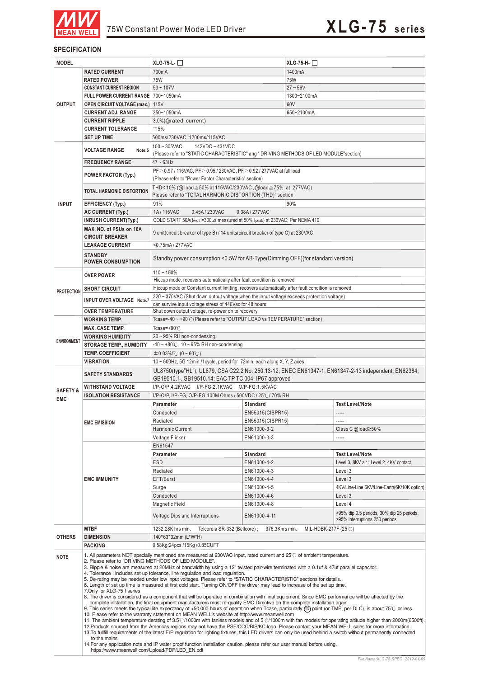

#### **SPECIFICATION**

| <b>MODEL</b>        |                                                                                                                                                                                                                                                                                                                                                                                                                                                                                                                                                                                                                                                                                                                                                                                                                                                                                                                                                                                                                                                                                                                                                                                                                                                                                                                                                                                                            | $XLG-75-L-$                                                                                                                                                                                    |                                                                                      | $XLG-75-H-$                    |                                                                             |  |  |
|---------------------|------------------------------------------------------------------------------------------------------------------------------------------------------------------------------------------------------------------------------------------------------------------------------------------------------------------------------------------------------------------------------------------------------------------------------------------------------------------------------------------------------------------------------------------------------------------------------------------------------------------------------------------------------------------------------------------------------------------------------------------------------------------------------------------------------------------------------------------------------------------------------------------------------------------------------------------------------------------------------------------------------------------------------------------------------------------------------------------------------------------------------------------------------------------------------------------------------------------------------------------------------------------------------------------------------------------------------------------------------------------------------------------------------------|------------------------------------------------------------------------------------------------------------------------------------------------------------------------------------------------|--------------------------------------------------------------------------------------|--------------------------------|-----------------------------------------------------------------------------|--|--|
|                     | <b>RATED CURRENT</b>                                                                                                                                                                                                                                                                                                                                                                                                                                                                                                                                                                                                                                                                                                                                                                                                                                                                                                                                                                                                                                                                                                                                                                                                                                                                                                                                                                                       | 700mA                                                                                                                                                                                          |                                                                                      | 1400mA                         |                                                                             |  |  |
|                     | <b>RATED POWER</b>                                                                                                                                                                                                                                                                                                                                                                                                                                                                                                                                                                                                                                                                                                                                                                                                                                                                                                                                                                                                                                                                                                                                                                                                                                                                                                                                                                                         | 75W                                                                                                                                                                                            |                                                                                      | <b>75W</b>                     |                                                                             |  |  |
|                     | <b>CONSTANT CURRENT REGION</b>                                                                                                                                                                                                                                                                                                                                                                                                                                                                                                                                                                                                                                                                                                                                                                                                                                                                                                                                                                                                                                                                                                                                                                                                                                                                                                                                                                             | $53 - 107V$                                                                                                                                                                                    |                                                                                      | $27 - 56V$                     |                                                                             |  |  |
|                     | <b>FULL POWER CURRENT RANGE</b>                                                                                                                                                                                                                                                                                                                                                                                                                                                                                                                                                                                                                                                                                                                                                                                                                                                                                                                                                                                                                                                                                                                                                                                                                                                                                                                                                                            | 700~1050mA                                                                                                                                                                                     |                                                                                      | 1300~2100mA                    |                                                                             |  |  |
| <b>OUTPUT</b>       | <b>OPEN CIRCUIT VOLTAGE (max.)</b>                                                                                                                                                                                                                                                                                                                                                                                                                                                                                                                                                                                                                                                                                                                                                                                                                                                                                                                                                                                                                                                                                                                                                                                                                                                                                                                                                                         | 115V                                                                                                                                                                                           |                                                                                      | 60V                            |                                                                             |  |  |
|                     | <b>CURRENT ADJ. RANGE</b>                                                                                                                                                                                                                                                                                                                                                                                                                                                                                                                                                                                                                                                                                                                                                                                                                                                                                                                                                                                                                                                                                                                                                                                                                                                                                                                                                                                  | 350~1050mA                                                                                                                                                                                     |                                                                                      | 650~2100mA                     |                                                                             |  |  |
|                     | <b>CURRENT RIPPLE</b>                                                                                                                                                                                                                                                                                                                                                                                                                                                                                                                                                                                                                                                                                                                                                                                                                                                                                                                                                                                                                                                                                                                                                                                                                                                                                                                                                                                      | 3.0%(@rated current)                                                                                                                                                                           |                                                                                      |                                |                                                                             |  |  |
|                     | <b>CURRENT TOLERANCE</b>                                                                                                                                                                                                                                                                                                                                                                                                                                                                                                                                                                                                                                                                                                                                                                                                                                                                                                                                                                                                                                                                                                                                                                                                                                                                                                                                                                                   | ±5%                                                                                                                                                                                            |                                                                                      |                                |                                                                             |  |  |
|                     | <b>SET UP TIME</b>                                                                                                                                                                                                                                                                                                                                                                                                                                                                                                                                                                                                                                                                                                                                                                                                                                                                                                                                                                                                                                                                                                                                                                                                                                                                                                                                                                                         | 500ms/230VAC, 1200ms/115VAC                                                                                                                                                                    |                                                                                      |                                |                                                                             |  |  |
|                     |                                                                                                                                                                                                                                                                                                                                                                                                                                                                                                                                                                                                                                                                                                                                                                                                                                                                                                                                                                                                                                                                                                                                                                                                                                                                                                                                                                                                            | $100 - 305$ VAC<br>142VDC ~ 431VDC                                                                                                                                                             |                                                                                      |                                |                                                                             |  |  |
|                     | <b>VOLTAGE RANGE</b><br>Note.5                                                                                                                                                                                                                                                                                                                                                                                                                                                                                                                                                                                                                                                                                                                                                                                                                                                                                                                                                                                                                                                                                                                                                                                                                                                                                                                                                                             |                                                                                                                                                                                                | (Please refer to "STATIC CHARACTERISTIC" ang "DRIVING METHODS OF LED MODULE"section) |                                |                                                                             |  |  |
|                     | <b>FREQUENCY RANGE</b>                                                                                                                                                                                                                                                                                                                                                                                                                                                                                                                                                                                                                                                                                                                                                                                                                                                                                                                                                                                                                                                                                                                                                                                                                                                                                                                                                                                     | $47 \sim 63$ Hz                                                                                                                                                                                |                                                                                      |                                |                                                                             |  |  |
|                     |                                                                                                                                                                                                                                                                                                                                                                                                                                                                                                                                                                                                                                                                                                                                                                                                                                                                                                                                                                                                                                                                                                                                                                                                                                                                                                                                                                                                            | PF ≥ 0.97 / 115VAC, PF ≥ 0.95 / 230VAC, PF ≥ 0.92 / 277VAC at full load                                                                                                                        |                                                                                      |                                |                                                                             |  |  |
|                     | POWER FACTOR (Typ.)                                                                                                                                                                                                                                                                                                                                                                                                                                                                                                                                                                                                                                                                                                                                                                                                                                                                                                                                                                                                                                                                                                                                                                                                                                                                                                                                                                                        | (Please refer to "Power Factor Characteristic" section)                                                                                                                                        |                                                                                      |                                |                                                                             |  |  |
|                     |                                                                                                                                                                                                                                                                                                                                                                                                                                                                                                                                                                                                                                                                                                                                                                                                                                                                                                                                                                                                                                                                                                                                                                                                                                                                                                                                                                                                            | THD< 10% (@ load ≥ 50% at 115VAC/230VAC, @load ≥ 75% at 277VAC)                                                                                                                                |                                                                                      |                                |                                                                             |  |  |
|                     | <b>TOTAL HARMONIC DISTORTION</b>                                                                                                                                                                                                                                                                                                                                                                                                                                                                                                                                                                                                                                                                                                                                                                                                                                                                                                                                                                                                                                                                                                                                                                                                                                                                                                                                                                           | Please refer to "TOTAL HARMONIC DISTORTION (THD)" section                                                                                                                                      |                                                                                      |                                |                                                                             |  |  |
| <b>INPUT</b>        | EFFICIENCY (Typ.)                                                                                                                                                                                                                                                                                                                                                                                                                                                                                                                                                                                                                                                                                                                                                                                                                                                                                                                                                                                                                                                                                                                                                                                                                                                                                                                                                                                          | 91%                                                                                                                                                                                            |                                                                                      | 90%                            |                                                                             |  |  |
|                     | AC CURRENT (Typ.)                                                                                                                                                                                                                                                                                                                                                                                                                                                                                                                                                                                                                                                                                                                                                                                                                                                                                                                                                                                                                                                                                                                                                                                                                                                                                                                                                                                          | 1A/115VAC<br>0.45A / 230VAC<br>0.38A/277VAC                                                                                                                                                    |                                                                                      |                                |                                                                             |  |  |
|                     | <b>INRUSH CURRENT(Typ.)</b>                                                                                                                                                                                                                                                                                                                                                                                                                                                                                                                                                                                                                                                                                                                                                                                                                                                                                                                                                                                                                                                                                                                                                                                                                                                                                                                                                                                | COLD START 50A(twidth=300µs measured at 50% Ipeak) at 230VAC; Per NEMA 410                                                                                                                     |                                                                                      |                                |                                                                             |  |  |
|                     | MAX. NO. of PSUs on 16A                                                                                                                                                                                                                                                                                                                                                                                                                                                                                                                                                                                                                                                                                                                                                                                                                                                                                                                                                                                                                                                                                                                                                                                                                                                                                                                                                                                    |                                                                                                                                                                                                |                                                                                      |                                |                                                                             |  |  |
|                     | <b>CIRCUIT BREAKER</b>                                                                                                                                                                                                                                                                                                                                                                                                                                                                                                                                                                                                                                                                                                                                                                                                                                                                                                                                                                                                                                                                                                                                                                                                                                                                                                                                                                                     | 9 unit(circuit breaker of type B) / 14 units(circuit breaker of type C) at 230VAC                                                                                                              |                                                                                      |                                |                                                                             |  |  |
|                     | <b>LEAKAGE CURRENT</b>                                                                                                                                                                                                                                                                                                                                                                                                                                                                                                                                                                                                                                                                                                                                                                                                                                                                                                                                                                                                                                                                                                                                                                                                                                                                                                                                                                                     | <0.75mA/277VAC                                                                                                                                                                                 |                                                                                      |                                |                                                                             |  |  |
|                     | <b>STANDBY</b>                                                                                                                                                                                                                                                                                                                                                                                                                                                                                                                                                                                                                                                                                                                                                                                                                                                                                                                                                                                                                                                                                                                                                                                                                                                                                                                                                                                             |                                                                                                                                                                                                |                                                                                      |                                |                                                                             |  |  |
|                     | <b>POWER CONSUMPTION</b>                                                                                                                                                                                                                                                                                                                                                                                                                                                                                                                                                                                                                                                                                                                                                                                                                                                                                                                                                                                                                                                                                                                                                                                                                                                                                                                                                                                   | Standby power consumption <0.5W for AB-Type(Dimming OFF)(for standard version)                                                                                                                 |                                                                                      |                                |                                                                             |  |  |
|                     |                                                                                                                                                                                                                                                                                                                                                                                                                                                                                                                                                                                                                                                                                                                                                                                                                                                                                                                                                                                                                                                                                                                                                                                                                                                                                                                                                                                                            | $110 - 150%$                                                                                                                                                                                   |                                                                                      |                                |                                                                             |  |  |
|                     | <b>OVER POWER</b>                                                                                                                                                                                                                                                                                                                                                                                                                                                                                                                                                                                                                                                                                                                                                                                                                                                                                                                                                                                                                                                                                                                                                                                                                                                                                                                                                                                          | Hiccup mode, recovers automatically after fault condition is removed                                                                                                                           |                                                                                      |                                |                                                                             |  |  |
|                     | <b>SHORT CIRCUIT</b>                                                                                                                                                                                                                                                                                                                                                                                                                                                                                                                                                                                                                                                                                                                                                                                                                                                                                                                                                                                                                                                                                                                                                                                                                                                                                                                                                                                       |                                                                                                                                                                                                |                                                                                      |                                |                                                                             |  |  |
| <b>PROTECTION</b>   |                                                                                                                                                                                                                                                                                                                                                                                                                                                                                                                                                                                                                                                                                                                                                                                                                                                                                                                                                                                                                                                                                                                                                                                                                                                                                                                                                                                                            | Hiccup mode or Constant current limiting, recovers automatically after fault condition is removed<br>320 ~ 370VAC (Shut down output voltage when the input voltage exceeds protection voltage) |                                                                                      |                                |                                                                             |  |  |
|                     | INPUT OVER VOLTAGE Note.7                                                                                                                                                                                                                                                                                                                                                                                                                                                                                                                                                                                                                                                                                                                                                                                                                                                                                                                                                                                                                                                                                                                                                                                                                                                                                                                                                                                  | can survive input voltage stress of 440Vac for 48 hours                                                                                                                                        |                                                                                      |                                |                                                                             |  |  |
|                     | <b>OVER TEMPERATURE</b>                                                                                                                                                                                                                                                                                                                                                                                                                                                                                                                                                                                                                                                                                                                                                                                                                                                                                                                                                                                                                                                                                                                                                                                                                                                                                                                                                                                    | Shut down output voltage, re-power on to recovery                                                                                                                                              |                                                                                      |                                |                                                                             |  |  |
|                     | <b>WORKING TEMP.</b>                                                                                                                                                                                                                                                                                                                                                                                                                                                                                                                                                                                                                                                                                                                                                                                                                                                                                                                                                                                                                                                                                                                                                                                                                                                                                                                                                                                       | Tcase=-40 ~ +90°C (Please refer to "OUTPUT LOAD vs TEMPERATURE" section)                                                                                                                       |                                                                                      |                                |                                                                             |  |  |
|                     | <b>MAX. CASE TEMP.</b>                                                                                                                                                                                                                                                                                                                                                                                                                                                                                                                                                                                                                                                                                                                                                                                                                                                                                                                                                                                                                                                                                                                                                                                                                                                                                                                                                                                     | Tcase=+90 $°C$                                                                                                                                                                                 |                                                                                      |                                |                                                                             |  |  |
|                     | <b>WORKING HUMIDITY</b>                                                                                                                                                                                                                                                                                                                                                                                                                                                                                                                                                                                                                                                                                                                                                                                                                                                                                                                                                                                                                                                                                                                                                                                                                                                                                                                                                                                    | $20 \sim 95\%$ RH non-condensing                                                                                                                                                               |                                                                                      |                                |                                                                             |  |  |
| <b>ENVIRONMENT</b>  | <b>STORAGE TEMP., HUMIDITY</b>                                                                                                                                                                                                                                                                                                                                                                                                                                                                                                                                                                                                                                                                                                                                                                                                                                                                                                                                                                                                                                                                                                                                                                                                                                                                                                                                                                             | $-40 \sim +80^{\circ}$ C, 10 ~ 95% RH non-condensing                                                                                                                                           |                                                                                      |                                |                                                                             |  |  |
|                     | <b>TEMP. COEFFICIENT</b>                                                                                                                                                                                                                                                                                                                                                                                                                                                                                                                                                                                                                                                                                                                                                                                                                                                                                                                                                                                                                                                                                                                                                                                                                                                                                                                                                                                   | $\pm 0.03\%$ (0 ~ 60°C)                                                                                                                                                                        |                                                                                      |                                |                                                                             |  |  |
|                     | <b>VIBRATION</b>                                                                                                                                                                                                                                                                                                                                                                                                                                                                                                                                                                                                                                                                                                                                                                                                                                                                                                                                                                                                                                                                                                                                                                                                                                                                                                                                                                                           | 10 ~ 500Hz, 5G 12min./1cycle, period for 72min. each along X, Y, Z axes                                                                                                                        |                                                                                      |                                |                                                                             |  |  |
|                     |                                                                                                                                                                                                                                                                                                                                                                                                                                                                                                                                                                                                                                                                                                                                                                                                                                                                                                                                                                                                                                                                                                                                                                                                                                                                                                                                                                                                            |                                                                                                                                                                                                |                                                                                      |                                |                                                                             |  |  |
|                     | <b>SAFETY STANDARDS</b>                                                                                                                                                                                                                                                                                                                                                                                                                                                                                                                                                                                                                                                                                                                                                                                                                                                                                                                                                                                                                                                                                                                                                                                                                                                                                                                                                                                    | UL8750(type"HL"), UL879, CSA C22.2 No. 250.13-12; ENEC EN61347-1, EN61347-2-13 independent, EN62384;<br>GB19510.1, GB19510.14; EAC TP TC 004; IP67 approved                                    |                                                                                      |                                |                                                                             |  |  |
|                     | WITHSTAND VOLTAGE                                                                                                                                                                                                                                                                                                                                                                                                                                                                                                                                                                                                                                                                                                                                                                                                                                                                                                                                                                                                                                                                                                                                                                                                                                                                                                                                                                                          | I/P-O/P:4.2KVAC I/P-FG:2.1KVAC O/P-FG:1.5KVAC                                                                                                                                                  |                                                                                      |                                |                                                                             |  |  |
| <b>SAFETY &amp;</b> | <b>ISOLATION RESISTANCE</b>                                                                                                                                                                                                                                                                                                                                                                                                                                                                                                                                                                                                                                                                                                                                                                                                                                                                                                                                                                                                                                                                                                                                                                                                                                                                                                                                                                                | I/P-O/P, I/P-FG, O/P-FG:100M Ohms / 500VDC / 25℃/70% RH                                                                                                                                        |                                                                                      |                                |                                                                             |  |  |
| <b>EMC</b>          |                                                                                                                                                                                                                                                                                                                                                                                                                                                                                                                                                                                                                                                                                                                                                                                                                                                                                                                                                                                                                                                                                                                                                                                                                                                                                                                                                                                                            | Parameter                                                                                                                                                                                      | <b>Standard</b>                                                                      |                                | <b>Test Level/Note</b>                                                      |  |  |
|                     |                                                                                                                                                                                                                                                                                                                                                                                                                                                                                                                                                                                                                                                                                                                                                                                                                                                                                                                                                                                                                                                                                                                                                                                                                                                                                                                                                                                                            | Conducted                                                                                                                                                                                      | EN55015(CISPR15)                                                                     |                                | -----                                                                       |  |  |
|                     | <b>EMC EMISSION</b>                                                                                                                                                                                                                                                                                                                                                                                                                                                                                                                                                                                                                                                                                                                                                                                                                                                                                                                                                                                                                                                                                                                                                                                                                                                                                                                                                                                        | Radiated                                                                                                                                                                                       | EN55015(CISPR15)                                                                     |                                | -----                                                                       |  |  |
|                     |                                                                                                                                                                                                                                                                                                                                                                                                                                                                                                                                                                                                                                                                                                                                                                                                                                                                                                                                                                                                                                                                                                                                                                                                                                                                                                                                                                                                            | Harmonic Current                                                                                                                                                                               | EN61000-3-2                                                                          |                                | Class C @load≥50%                                                           |  |  |
|                     |                                                                                                                                                                                                                                                                                                                                                                                                                                                                                                                                                                                                                                                                                                                                                                                                                                                                                                                                                                                                                                                                                                                                                                                                                                                                                                                                                                                                            | Voltage Flicker                                                                                                                                                                                | EN61000-3-3                                                                          |                                | -----                                                                       |  |  |
|                     |                                                                                                                                                                                                                                                                                                                                                                                                                                                                                                                                                                                                                                                                                                                                                                                                                                                                                                                                                                                                                                                                                                                                                                                                                                                                                                                                                                                                            | EN61547                                                                                                                                                                                        |                                                                                      |                                |                                                                             |  |  |
|                     |                                                                                                                                                                                                                                                                                                                                                                                                                                                                                                                                                                                                                                                                                                                                                                                                                                                                                                                                                                                                                                                                                                                                                                                                                                                                                                                                                                                                            | Parameter                                                                                                                                                                                      | Standard                                                                             |                                | <b>Test Level/Note</b>                                                      |  |  |
|                     |                                                                                                                                                                                                                                                                                                                                                                                                                                                                                                                                                                                                                                                                                                                                                                                                                                                                                                                                                                                                                                                                                                                                                                                                                                                                                                                                                                                                            | ESD                                                                                                                                                                                            | EN61000-4-2                                                                          |                                | Level 3, 8KV air ; Level 2, 4KV contact                                     |  |  |
|                     |                                                                                                                                                                                                                                                                                                                                                                                                                                                                                                                                                                                                                                                                                                                                                                                                                                                                                                                                                                                                                                                                                                                                                                                                                                                                                                                                                                                                            | Radiated                                                                                                                                                                                       | EN61000-4-3                                                                          |                                | Level 3                                                                     |  |  |
|                     | <b>EMC IMMUNITY</b>                                                                                                                                                                                                                                                                                                                                                                                                                                                                                                                                                                                                                                                                                                                                                                                                                                                                                                                                                                                                                                                                                                                                                                                                                                                                                                                                                                                        | EFT/Burst                                                                                                                                                                                      | EN61000-4-4                                                                          |                                | Level 3                                                                     |  |  |
|                     |                                                                                                                                                                                                                                                                                                                                                                                                                                                                                                                                                                                                                                                                                                                                                                                                                                                                                                                                                                                                                                                                                                                                                                                                                                                                                                                                                                                                            | Surge                                                                                                                                                                                          | EN61000-4-5                                                                          |                                | 4KV/Line-Line 6KV/Line-Earth(6K/10K option)                                 |  |  |
|                     |                                                                                                                                                                                                                                                                                                                                                                                                                                                                                                                                                                                                                                                                                                                                                                                                                                                                                                                                                                                                                                                                                                                                                                                                                                                                                                                                                                                                            | Conducted                                                                                                                                                                                      | EN61000-4-6                                                                          |                                | Level 3                                                                     |  |  |
|                     |                                                                                                                                                                                                                                                                                                                                                                                                                                                                                                                                                                                                                                                                                                                                                                                                                                                                                                                                                                                                                                                                                                                                                                                                                                                                                                                                                                                                            | <b>Magnetic Field</b>                                                                                                                                                                          | EN61000-4-8                                                                          |                                | Level 4                                                                     |  |  |
|                     |                                                                                                                                                                                                                                                                                                                                                                                                                                                                                                                                                                                                                                                                                                                                                                                                                                                                                                                                                                                                                                                                                                                                                                                                                                                                                                                                                                                                            | <b>Voltage Dips and Interruptions</b>                                                                                                                                                          | EN61000-4-11                                                                         |                                | >95% dip 0.5 periods, 30% dip 25 periods,<br>>95% interruptions 250 periods |  |  |
|                     | MTBF                                                                                                                                                                                                                                                                                                                                                                                                                                                                                                                                                                                                                                                                                                                                                                                                                                                                                                                                                                                                                                                                                                                                                                                                                                                                                                                                                                                                       | Telcordia SR-332 (Bellcore);<br>1232.28K hrs min.                                                                                                                                              | 376.3Khrs min.                                                                       | MIL-HDBK-217F $(25^{\circ}$ C) |                                                                             |  |  |
| <b>OTHERS</b>       | <b>DIMENSION</b>                                                                                                                                                                                                                                                                                                                                                                                                                                                                                                                                                                                                                                                                                                                                                                                                                                                                                                                                                                                                                                                                                                                                                                                                                                                                                                                                                                                           | 140*63*32mm (L*W*H)                                                                                                                                                                            |                                                                                      |                                |                                                                             |  |  |
|                     |                                                                                                                                                                                                                                                                                                                                                                                                                                                                                                                                                                                                                                                                                                                                                                                                                                                                                                                                                                                                                                                                                                                                                                                                                                                                                                                                                                                                            |                                                                                                                                                                                                |                                                                                      |                                |                                                                             |  |  |
| <b>NOTE</b>         | <b>PACKING</b><br>0.58Kg;24pcs /15Kg /0.85CUFT<br>1. All parameters NOT specially mentioned are measured at 230VAC input, rated current and 25°C of ambient temperature.<br>2. Please refer to "DRIVING METHODS OF LED MODULE".<br>3. Ripple & noise are measured at 20MHz of bandwidth by using a 12" twisted pair-wire terminated with a 0.1uf & 47uf parallel capacitor.                                                                                                                                                                                                                                                                                                                                                                                                                                                                                                                                                                                                                                                                                                                                                                                                                                                                                                                                                                                                                                |                                                                                                                                                                                                |                                                                                      |                                |                                                                             |  |  |
|                     | 4. Tolerance: includes set up tolerance, line regulation and load regulation.<br>5. De-rating may be needed under low input voltages. Please refer to "STATIC CHARACTERISTIC" sections for details.<br>6. Length of set up time is measured at first cold start. Turning ON/OFF the driver may lead to increase of the set up time.<br>7.Only for XLG-75 I series<br>8. The driver is considered as a component that will be operated in combination with final equipment. Since EMC performance will be affected by the<br>complete installation, the final equipment manufacturers must re-qualify EMC Directive on the complete installation again.<br>9. This series meets the typical life expectancy of >50,000 hours of operation when Tcase, particularly (cc) point (or TMP, per DLC), is about 75°C or less.<br>10. Please refer to the warranty statement on MEAN WELL's website at http://www.meanwell.com<br>11. The ambient temperature derating of 3.5°C/1000m with fanless models and of 5°C/1000m with fan models for operating altitude higher than 2000m(6500ft).<br>12. Products sourced from the Americas regions may not have the PSE/CCC/BIS/KC logo. Please contact your MEAN WELL sales for more information.<br>13. To fullfill requirements of the latest ErP regulation for lighting fixtures, this LED drivers can only be used behind a switch without permanently connected |                                                                                                                                                                                                |                                                                                      |                                |                                                                             |  |  |
|                     | to the mains<br>14. For any application note and IP water proof function installation caution, please refer our user manual before using.<br>https://www.meanwell.com/Upload/PDF/LED EN.pdf                                                                                                                                                                                                                                                                                                                                                                                                                                                                                                                                                                                                                                                                                                                                                                                                                                                                                                                                                                                                                                                                                                                                                                                                                |                                                                                                                                                                                                |                                                                                      |                                |                                                                             |  |  |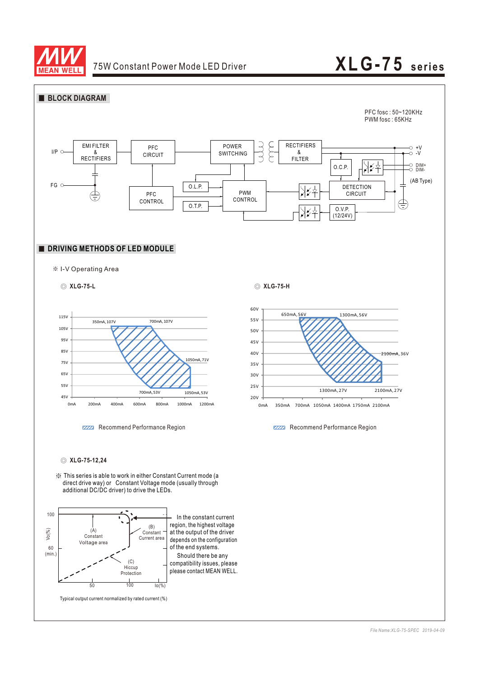

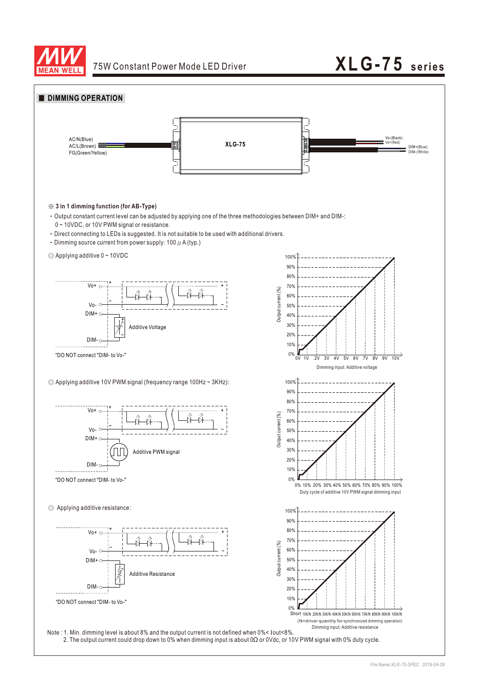

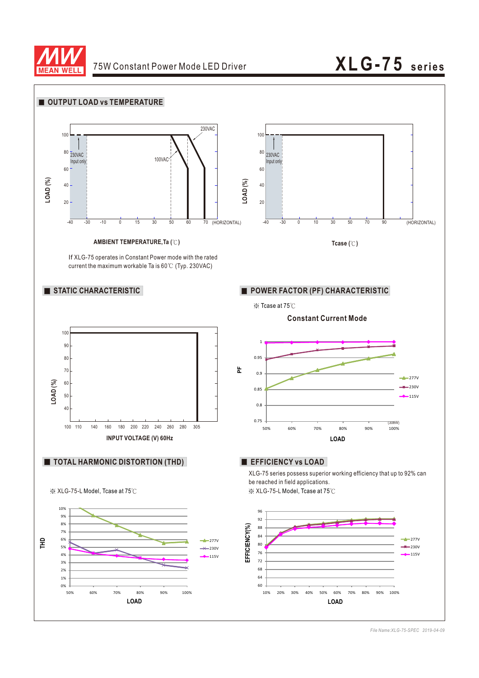



*File Name:XLG-75-SPEC 2019-04-09*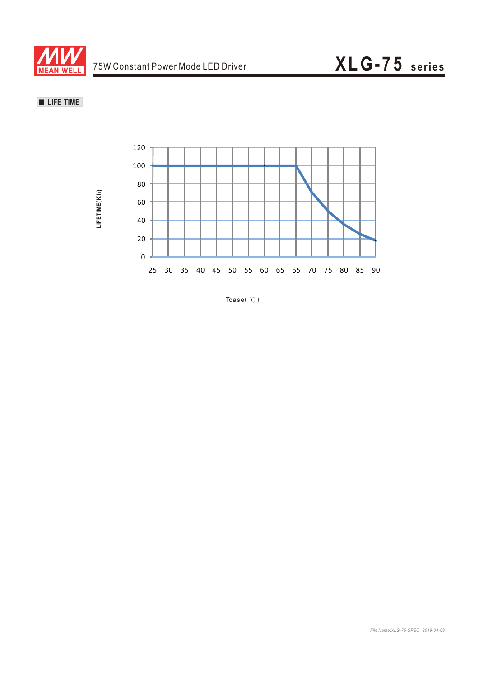





Tcase $($   $\degree$ C)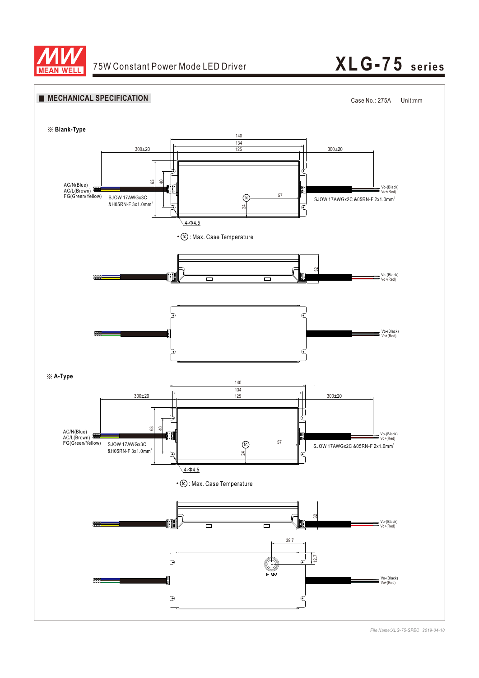